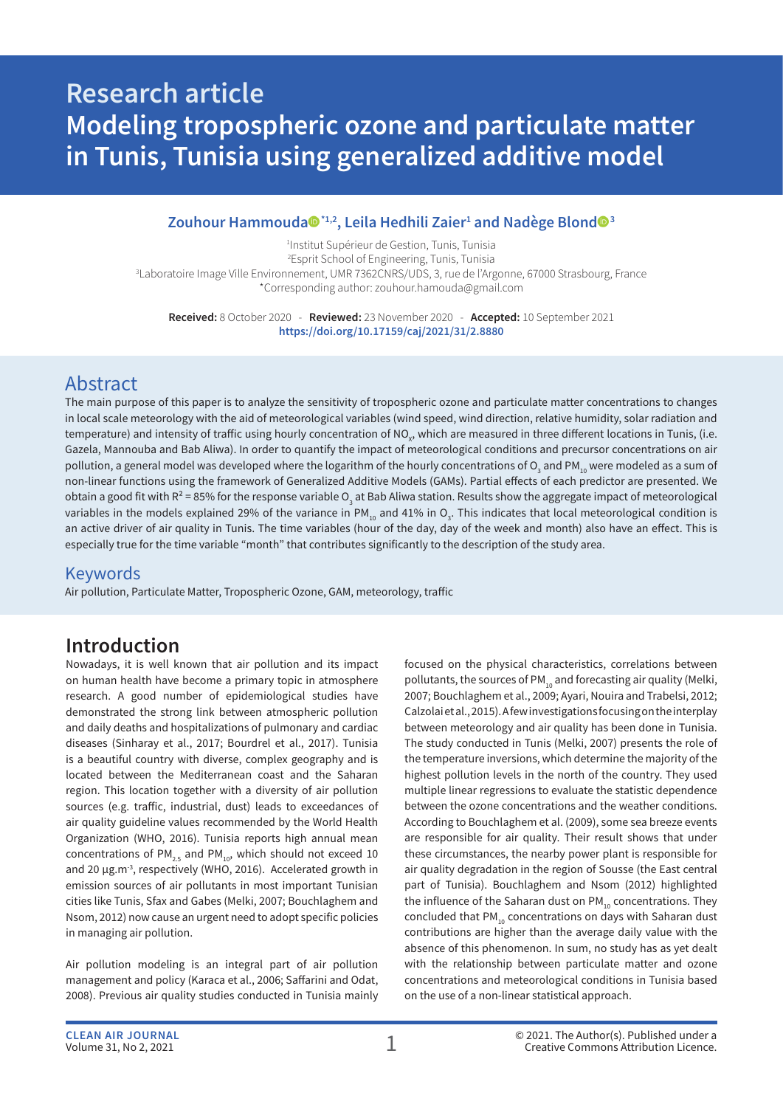# **Research article Modeling tropospheric ozone and particulate matter in Tunis, Tunisia using generalized additive model**

### $\mathsf{Zouhour}$  Hammouda $\mathsf{Q}^{\star_{1,2}},$  Leila Hedhili Zaier $^{\scriptscriptstyle 1}$  and Nadège Blond $\mathsf{Q}^{\scriptscriptstyle 3}$

 Institut Supérieur de Gestion, Tunis, Tunisia Esprit School of Engineering, Tunis, Tunisia Laboratoire Image Ville Environnement, UMR 7362CNRS/UDS, 3, rue de l'Argonne, 67000 Strasbourg, France \*Corresponding author: zouhour.hamouda@gmail.com

**Received:** 8 October 2020 - **Reviewed:** 23 November 2020 - **Accepted:** 10 September 2021 **https://doi.org/10.17159/caj/2021/31/2.8880**

### Abstract

The main purpose of this paper is to analyze the sensitivity of tropospheric ozone and particulate matter concentrations to changes in local scale meteorology with the aid of meteorological variables (wind speed, wind direction, relative humidity, solar radiation and temperature) and intensity of traffic using hourly concentration of NO $_{\sf x}$ , which are measured in three different locations in Tunis, (i.e. Gazela, Mannouba and Bab Aliwa). In order to quantify the impact of meteorological conditions and precursor concentrations on air pollution, a general model was developed where the logarithm of the hourly concentrations of O<sub>3</sub> and PM $_{\rm 10}$  were modeled as a sum of non-linear functions using the framework of Generalized Additive Models (GAMs). Partial effects of each predictor are presented. We obtain a good fit with R<sup>2</sup> = 85% for the response variable O<sub>3</sub> at Bab Aliwa station. Results show the aggregate impact of meteorological variables in the models explained 29% of the variance in PM<sub>10</sub> and 41% in O<sub>3</sub>. This indicates that local meteorological condition is an active driver of air quality in Tunis. The time variables (hour of the day, day of the week and month) also have an effect. This is especially true for the time variable "month" that contributes significantly to the description of the study area.

### Keywords

Air pollution, Particulate Matter, Tropospheric Ozone, GAM, meteorology, traffic

### **Introduction**

Nowadays, it is well known that air pollution and its impact on human health have become a primary topic in atmosphere research. A good number of epidemiological studies have demonstrated the strong link between atmospheric pollution and daily deaths and hospitalizations of pulmonary and cardiac diseases (Sinharay et al., 2017; Bourdrel et al., 2017). Tunisia is a beautiful country with diverse, complex geography and is located between the Mediterranean coast and the Saharan region. This location together with a diversity of air pollution sources (e.g. traffic, industrial, dust) leads to exceedances of air quality guideline values recommended by the World Health Organization (WHO, 2016). Tunisia reports high annual mean concentrations of PM<sub>2.5</sub> and PM<sub>10</sub>, which should not exceed 10 and 20 μg.m-3, respectively (WHO, 2016). Accelerated growth in emission sources of air pollutants in most important Tunisian cities like Tunis, Sfax and Gabes (Melki, 2007; Bouchlaghem and Nsom, 2012) now cause an urgent need to adopt specific policies in managing air pollution.

Air pollution modeling is an integral part of air pollution management and policy (Karaca et al., 2006; Saffarini and Odat, 2008). Previous air quality studies conducted in Tunisia mainly

focused on the physical characteristics, correlations between pollutants, the sources of PM $_{10}$  and forecasting air quality (Melki, 2007; Bouchlaghem et al., 2009; Ayari, Nouira and Trabelsi, 2012; Calzolai et al., 2015). A few investigations focusing on the interplay between meteorology and air quality has been done in Tunisia. The study conducted in Tunis (Melki, 2007) presents the role of the temperature inversions, which determine the majority of the highest pollution levels in the north of the country. They used multiple linear regressions to evaluate the statistic dependence between the ozone concentrations and the weather conditions. According to Bouchlaghem et al. (2009), some sea breeze events are responsible for air quality. Their result shows that under these circumstances, the nearby power plant is responsible for air quality degradation in the region of Sousse (the East central part of Tunisia). Bouchlaghem and Nsom (2012) highlighted the influence of the Saharan dust on  $PM_{10}$  concentrations. They concluded that PM<sub>10</sub> concentrations on days with Saharan dust contributions are higher than the average daily value with the absence of this phenomenon. In sum, no study has as yet dealt with the relationship between particulate matter and ozone concentrations and meteorological conditions in Tunisia based on the use of a non-linear statistical approach.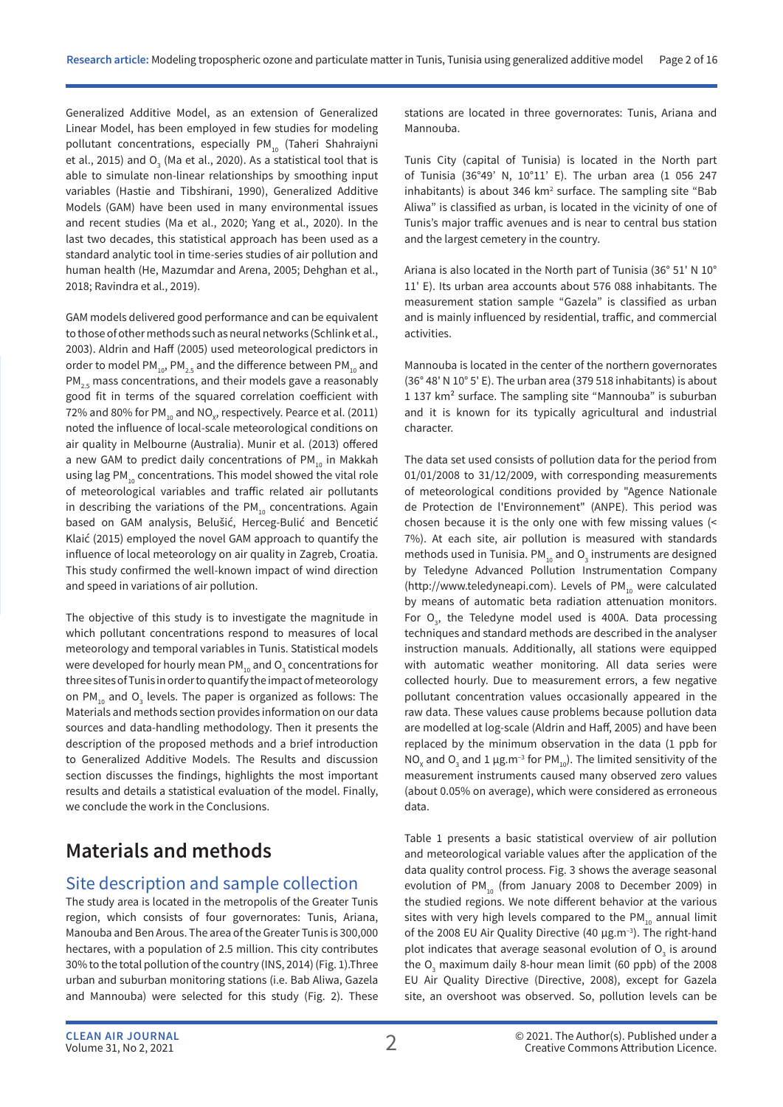Generalized Additive Model, as an extension of Generalized Linear Model, has been employed in few studies for modeling pollutant concentrations, especially PM $_{10}$  (Taheri Shahraiyni et al., 2015) and  ${\mathsf O}_{_{\!3}}$  (Ma et al., 2020). As a statistical tool that is able to simulate non-linear relationships by smoothing input variables (Hastie and Tibshirani, 1990), Generalized Additive Models (GAM) have been used in many environmental issues and recent studies (Ma et al., 2020; Yang et al., 2020). In the last two decades, this statistical approach has been used as a standard analytic tool in time-series studies of air pollution and human health (He, Mazumdar and Arena, 2005; Dehghan et al., 2018; Ravindra et al., 2019).

GAM models delivered good performance and can be equivalent to those of other methods such as neural networks (Schlink et al., 2003). Aldrin and Haff (2005) used meteorological predictors in order to model PM<sub>10</sub>, PM<sub>2.5</sub> and the difference between PM<sub>10</sub> and  $PM_{25}$  mass concentrations, and their models gave a reasonably good fit in terms of the squared correlation coefficient with 72% and 80% for PM $_{\textrm{\tiny{10}}}$  and NO $_{\textrm{\tiny{X}}}$ , respectively. Pearce et al. (2011) noted the influence of local-scale meteorological conditions on air quality in Melbourne (Australia). Munir et al. (2013) offered a new GAM to predict daily concentrations of PM<sub>10</sub> in Makkah using lag PM<sub>10</sub> concentrations. This model showed the vital role of meteorological variables and traffic related air pollutants in describing the variations of the  $PM_{10}$  concentrations. Again based on GAM analysis, Belušić, Herceg-Bulić and Bencetić Klaić (2015) employed the novel GAM approach to quantify the influence of local meteorology on air quality in Zagreb, Croatia. This study confirmed the well-known impact of wind direction and speed in variations of air pollution.

The objective of this study is to investigate the magnitude in which pollutant concentrations respond to measures of local meteorology and temporal variables in Tunis. Statistical models were developed for hourly mean PM $_{\rm_{10}}$  and O $_{\rm_{3}}$  concentrations for three sites of Tunis in order to quantify the impact of meteorology on PM $_{10}$  and O<sub>3</sub> levels. The paper is organized as follows: The Materials and methods section provides information on our data sources and data-handling methodology. Then it presents the description of the proposed methods and a brief introduction to Generalized Additive Models. The Results and discussion section discusses the findings, highlights the most important results and details a statistical evaluation of the model. Finally, we conclude the work in the Conclusions.

## **Materials and methods**

### Site description and sample collection

The study area is located in the metropolis of the Greater Tunis region, which consists of four governorates: Tunis, Ariana, Manouba and Ben Arous. The area of the Greater Tunis is 300,000 hectares, with a population of 2.5 million. This city contributes 30% to the total pollution of the country (INS, 2014) (Fig. 1).Three urban and suburban monitoring stations (i.e. Bab Aliwa, Gazela and Mannouba) were selected for this study (Fig. 2). These stations are located in three governorates: Tunis, Ariana and Mannouba.

Tunis City (capital of Tunisia) is located in the North part of Tunisia (36°49' N, 10°11' E). The urban area (1 056 247 inhabitants) is about 346  $km<sup>2</sup>$  surface. The sampling site "Bab Aliwa" is classified as urban, is located in the vicinity of one of Tunis's major traffic avenues and is near to central bus station and the largest cemetery in the country.

Ariana is also located in the North part of Tunisia (36° 51' N 10° 11' E). Its urban area accounts about 576 088 inhabitants. The measurement station sample "Gazela" is classified as urban and is mainly influenced by residential, traffic, and commercial activities.

Mannouba is located in the center of the northern governorates (36° 48' N 10° 5' E). The urban area (379 518 inhabitants) is about 1 137 km² surface. The sampling site "Mannouba" is suburban and it is known for its typically agricultural and industrial character.

The data set used consists of pollution data for the period from 01/01/2008 to 31/12/2009, with corresponding measurements of meteorological conditions provided by "Agence Nationale de Protection de l'Environnement" (ANPE). This period was chosen because it is the only one with few missing values (< 7%). At each site, air pollution is measured with standards methods used in Tunisia. PM $_{10}$  and O<sub>3</sub> instruments are designed by Teledyne Advanced Pollution Instrumentation Company (http://www.teledyneapi.com). Levels of PM $_{10}$  were calculated by means of automatic beta radiation attenuation monitors. For  $O_3$ , the Teledyne model used is 400A. Data processing techniques and standard methods are described in the analyser instruction manuals. Additionally, all stations were equipped with automatic weather monitoring. All data series were collected hourly. Due to measurement errors, a few negative pollutant concentration values occasionally appeared in the raw data. These values cause problems because pollution data are modelled at log-scale (Aldrin and Haff, 2005) and have been replaced by the minimum observation in the data (1 ppb for NO<sub>x</sub> and O<sub>3</sub> and 1 μg.m<sup>-3</sup> for PM<sub>10</sub>). The limited sensitivity of the measurement instruments caused many observed zero values (about 0.05% on average), which were considered as erroneous data.

Table 1 presents a basic statistical overview of air pollution and meteorological variable values after the application of the data quality control process. Fig. 3 shows the average seasonal evolution of PM $_{10}$  (from January 2008 to December 2009) in the studied regions. We note different behavior at the various sites with very high levels compared to the  $PM_{10}$  annual limit of the 2008 EU Air Quality Directive (40 μg.m<sup>-3</sup>). The right-hand plot indicates that average seasonal evolution of  $O<sub>3</sub>$  is around the  $O_3$  maximum daily 8-hour mean limit (60 ppb) of the 2008 EU Air Quality Directive (Directive, 2008), except for Gazela site, an overshoot was observed. So, pollution levels can be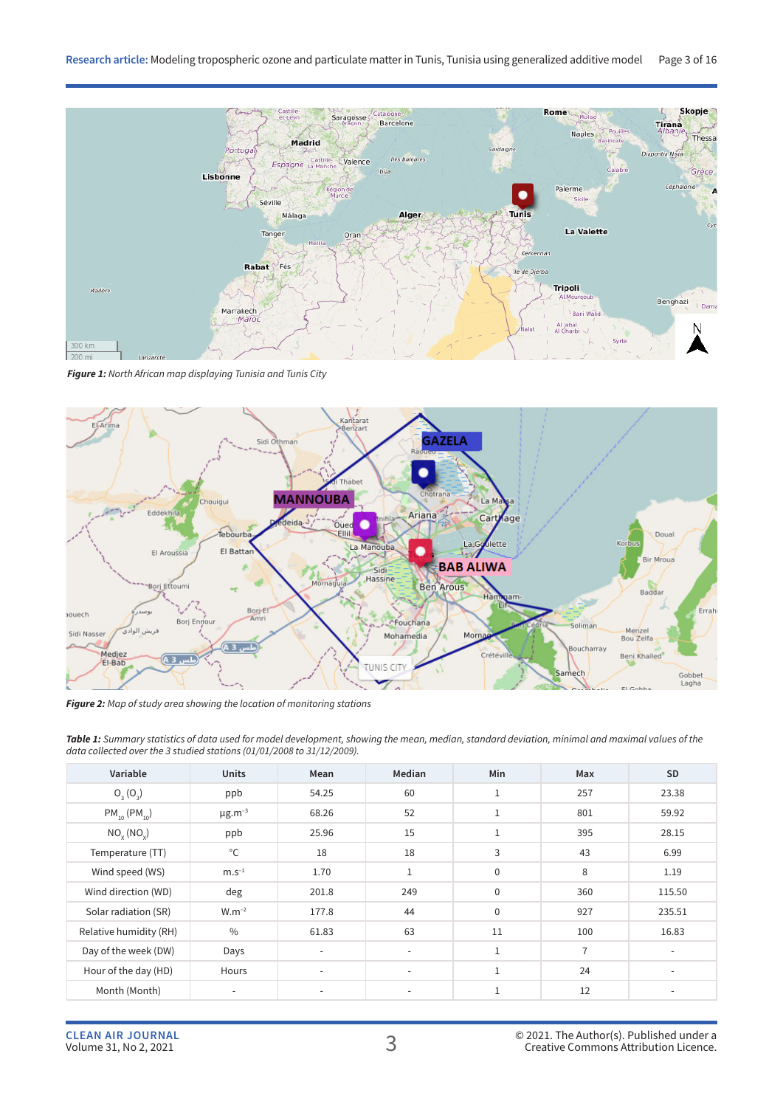

*Figure 1: North African map displaying Tunisia and Tunis City*



*Figure 2: Map of study area showing the location of monitoring stations*

*Table 1: Summary statistics of data used for model development, showing the mean, median, standard deviation, minimal and maximal values of the data collected over the 3 studied stations (01/01/2008 to 31/12/2009).*

| Variable               | <b>Units</b>             | Mean                     | Median                   | Min          | Max            | <b>SD</b> |
|------------------------|--------------------------|--------------------------|--------------------------|--------------|----------------|-----------|
| $O_3(O_3)$             | ppb                      | 54.25                    | 60                       | $\mathbf{1}$ | 257            | 23.38     |
| $PM_{10} (PM_{10})$    | $\mu$ g.m <sup>-3</sup>  | 68.26                    | 52                       | $\mathbf{1}$ | 801            | 59.92     |
| $NO_{x} (NO_{y})$      | ppb                      | 25.96                    | 15                       | $\mathbf 1$  | 395            | 28.15     |
| Temperature (TT)       | $^{\circ}$ C             | 18                       | 18                       | 3            | 43             | 6.99      |
| Wind speed (WS)        | $m.s^{-1}$               | 1.70                     | $\mathbf{1}$             | $\mathbf 0$  | 8              | 1.19      |
| Wind direction (WD)    | deg                      | 201.8                    | 249                      | $\mathbf 0$  | 360            | 115.50    |
| Solar radiation (SR)   | $W.m^{-2}$               | 177.8                    | 44                       | $\mathbf 0$  | 927            | 235.51    |
| Relative humidity (RH) | $\frac{0}{0}$            | 61.83                    | 63                       | 11           | 100            | 16.83     |
| Day of the week (DW)   | Days                     | $\sim$                   | $\overline{\phantom{a}}$ | $\mathbf{1}$ | $\overline{7}$ |           |
| Hour of the day (HD)   | Hours                    | $\overline{\phantom{a}}$ | $\overline{\phantom{a}}$ | $\mathbf{1}$ | 24             |           |
| Month (Month)          | $\overline{\phantom{a}}$ | $\overline{\phantom{a}}$ | $\overline{\phantom{a}}$ | $\mathbf 1$  | 12             |           |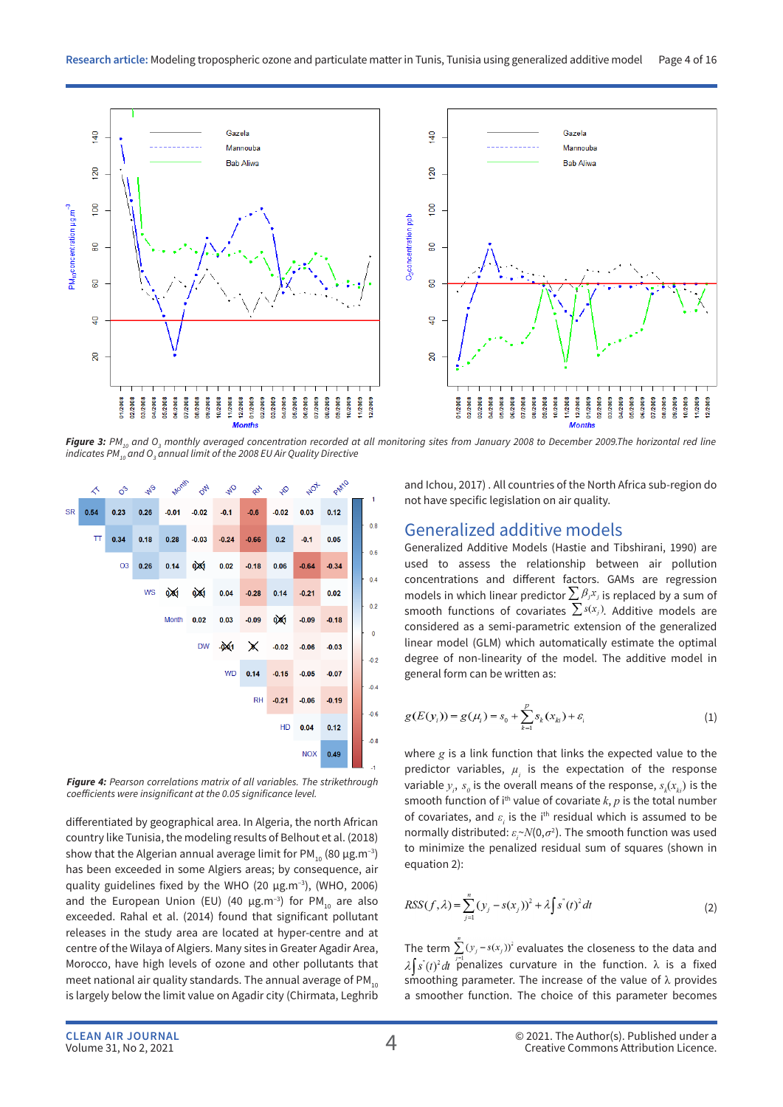

*Figure 3: PM10 and O3 monthly averaged concentration recorded at all monitoring sites from January 2008 to December 2009.The horizontal red line indicates PM10 and O3 annual limit of the 2008 EU Air Quality Directive*



*Figure 4: Pearson correlations matrix of all variables. The strikethrough coefficients were insignificant at the 0.05 significance level.* 

differentiated by geographical area. In Algeria, the north African country like Tunisia, the modeling results of Belhout et al. (2018) show that the Algerian annual average limit for PM<sub>10</sub> (80  $\mu$ g.m<sup>-3</sup>) has been exceeded in some Algiers areas; by consequence, air quality guidelines fixed by the WHO (20  $\mu$ g.m<sup>-3</sup>), (WHO, 2006) and the European Union (EU) (40  $\mu$ g.m<sup>-3</sup>) for PM<sub>10</sub> are also exceeded. Rahal et al. (2014) found that significant pollutant releases in the study area are located at hyper-centre and at centre of the Wilaya of Algiers. Many sites in Greater Agadir Area, Morocco, have high levels of ozone and other pollutants that meet national air quality standards. The annual average of  $PM_{10}$ is largely below the limit value on Agadir city (Chirmata, Leghrib and Ichou, 2017) . All countries of the North Africa sub-region do not have specific legislation on air quality.

### Generalized additive models

Generalized Additive Models (Hastie and Tibshirani, 1990) are used to assess the relationship between air pollution concentrations and different factors. GAMs are regression models in which linear predictor  $\sum \beta_j x_j$  is replaced by a sum of smooth functions of covariates  $\sum s(x_j)$ . Additive models are considered as a semi-parametric extension of the generalized linear model (GLM) which automatically estimate the optimal degree of non-linearity of the model. The additive model in general form can be written as:

$$
g(E(y_i)) = g(\mu_i) = s_0 + \sum_{k=1}^{p} s_k(x_{ki}) + \varepsilon_i
$$
 (1)

where *g* is a link function that links the expected value to the predictor variables,  $\mu_i$  is the expectation of the response variable  $y_i$ ,  $s_0$  is the overall means of the response,  $s_k(x_{ki})$  is the smooth function of i<sup>th</sup> value of covariate  $k$ ,  $p$  is the total number of covariates, and  $\varepsilon$ <sub>*i*</sub> is the i<sup>th</sup> residual which is assumed to be normally distributed:  $\varepsilon_r \sim N(0, \sigma^2)$ . The smooth function was used to minimize the penalized residual sum of squares (shown in equation 2):

$$
RSS(f, \lambda) = \sum_{j=1}^{n} (y_j - s(x_j))^2 + \lambda \int s^{(i)}(t)^2 dt
$$
 (2)

The term  $\sum (y_i - s(x_i))^2$  evaluates the closeness to the data and  $\lambda \int s'(t)^2 dt$  penalizes curvature in the function.  $\lambda$  is a fixed smoothing parameter. The increase of the value of  $\lambda$  provides a smoother function. The choice of this parameter becomes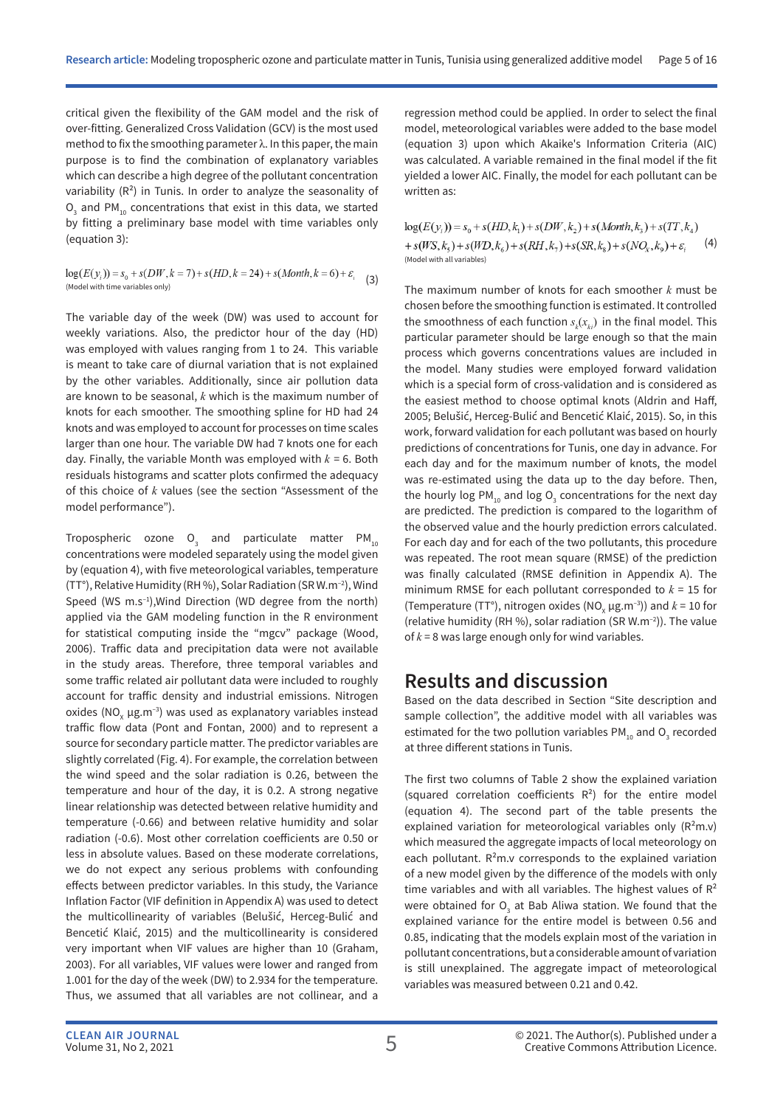critical given the flexibility of the GAM model and the risk of over-fitting. Generalized Cross Validation (GCV) is the most used method to fix the smoothing parameter  $\lambda$ . In this paper, the main purpose is to find the combination of explanatory variables which can describe a high degree of the pollutant concentration variability  $(R^2)$  in Tunis. In order to analyze the seasonality of  $\overline{\mathrm{O}}_{3}$  and PM<sub>10</sub> concentrations that exist in this data, we started by fitting a preliminary base model with time variables only (equation 3):

$$
log(E(y_i)) = s_0 + s(DW, k = 7) + s(HD, k = 24) + s(Month, k = 6) + \varepsilon_i
$$
  
(Model with time variables only) (Model with time variables only)

The variable day of the week (DW) was used to account for weekly variations. Also, the predictor hour of the day (HD) was employed with values ranging from 1 to 24. This variable is meant to take care of diurnal variation that is not explained by the other variables. Additionally, since air pollution data are known to be seasonal, *k* which is the maximum number of knots for each smoother. The smoothing spline for HD had 24 knots and was employed to account for processes on time scales larger than one hour. The variable DW had 7 knots one for each day. Finally, the variable Month was employed with  $k = 6$ . Both residuals histograms and scatter plots confirmed the adequacy of this choice of *k* values (see the section "Assessment of the model performance").

Tropospheric ozone  $\overline{\mathsf{O}}_{_{3}}$  and particulate matter PM $_{_{10}}$ concentrations were modeled separately using the model given by (equation 4), with five meteorological variables, temperature (TT°), Relative Humidity (RH %), Solar Radiation (SR W.m–2), Wind Speed (WS m.s<sup>-1</sup>), Wind Direction (WD degree from the north) applied via the GAM modeling function in the R environment for statistical computing inside the "mgcv" package (Wood, 2006). Traffic data and precipitation data were not available in the study areas. Therefore, three temporal variables and some traffic related air pollutant data were included to roughly account for traffic density and industrial emissions. Nitrogen oxides (NO $_{\mathrm{x}}$   $\mu$ g.m $^{-3}$ ) was used as explanatory variables instead traffic flow data (Pont and Fontan, 2000) and to represent a source for secondary particle matter. The predictor variables are slightly correlated (Fig. 4). For example, the correlation between the wind speed and the solar radiation is 0.26, between the temperature and hour of the day, it is 0.2. A strong negative linear relationship was detected between relative humidity and temperature (-0.66) and between relative humidity and solar radiation (-0.6). Most other correlation coefficients are 0.50 or less in absolute values. Based on these moderate correlations, we do not expect any serious problems with confounding effects between predictor variables. In this study, the Variance Inflation Factor (VIF definition in Appendix A) was used to detect the multicollinearity of variables (Belušić, Herceg-Bulić and Bencetić Klaić, 2015) and the multicollinearity is considered very important when VIF values are higher than 10 (Graham, 2003). For all variables, VIF values were lower and ranged from 1.001 for the day of the week (DW) to 2.934 for the temperature. Thus, we assumed that all variables are not collinear, and a

regression method could be applied. In order to select the final model, meteorological variables were added to the base model (equation 3) upon which Akaike's Information Criteria (AIC) was calculated. A variable remained in the final model if the fit yielded a lower AIC. Finally, the model for each pollutant can be written as:

 $log(E(y_i)) = s_0 + s(HD, k_1) + s(DW, k_2) + s(Month, k_3) + s(TT, k_4)$ +  $s(WS, k, )+s(WD, k, )+s(RH, k, )+s(SR, k, )+s(NO_x, k, )+\varepsilon$  (4) (Model with all variables)

The maximum number of knots for each smoother *k* must be chosen before the smoothing function is estimated. It controlled the smoothness of each function  $s_k(x_{ki})$  in the final model. This particular parameter should be large enough so that the main process which governs concentrations values are included in the model. Many studies were employed forward validation which is a special form of cross-validation and is considered as the easiest method to choose optimal knots (Aldrin and Haff, 2005; Belušić, Herceg-Bulić and Bencetić Klaić, 2015). So, in this work, forward validation for each pollutant was based on hourly predictions of concentrations for Tunis, one day in advance. For each day and for the maximum number of knots, the model was re-estimated using the data up to the day before. Then, the hourly log PM<sub>10</sub> and log O<sub>3</sub> concentrations for the next day are predicted. The prediction is compared to the logarithm of the observed value and the hourly prediction errors calculated. For each day and for each of the two pollutants, this procedure was repeated. The root mean square (RMSE) of the prediction was finally calculated (RMSE definition in Appendix A). The minimum RMSE for each pollutant corresponded to *k* = 15 for (Temperature (TT°), nitrogen oxides (NO<sub>x</sub>  $\mu$ g.m<sup>-3</sup>)) and  $k = 10$  for (relative humidity (RH %), solar radiation (SR W.m–2)). The value of *k* = 8 was large enough only for wind variables.

## **Results and discussion**

Based on the data described in Section "Site description and sample collection", the additive model with all variables was estimated for the two pollution variables  $PM_{10}$  and  $O_3$  recorded at three different stations in Tunis.

The first two columns of Table 2 show the explained variation (squared correlation coefficients  $R^2$ ) for the entire model (equation 4). The second part of the table presents the explained variation for meteorological variables only  $(R<sup>2</sup>m.v)$ which measured the aggregate impacts of local meteorology on each pollutant.  $R^2m.v$  corresponds to the explained variation of a new model given by the difference of the models with only time variables and with all variables. The highest values of  $R<sup>2</sup>$ were obtained for  $O_3$  at Bab Aliwa station. We found that the explained variance for the entire model is between 0.56 and 0.85, indicating that the models explain most of the variation in pollutant concentrations, but a considerable amount of variation is still unexplained. The aggregate impact of meteorological variables was measured between 0.21 and 0.42.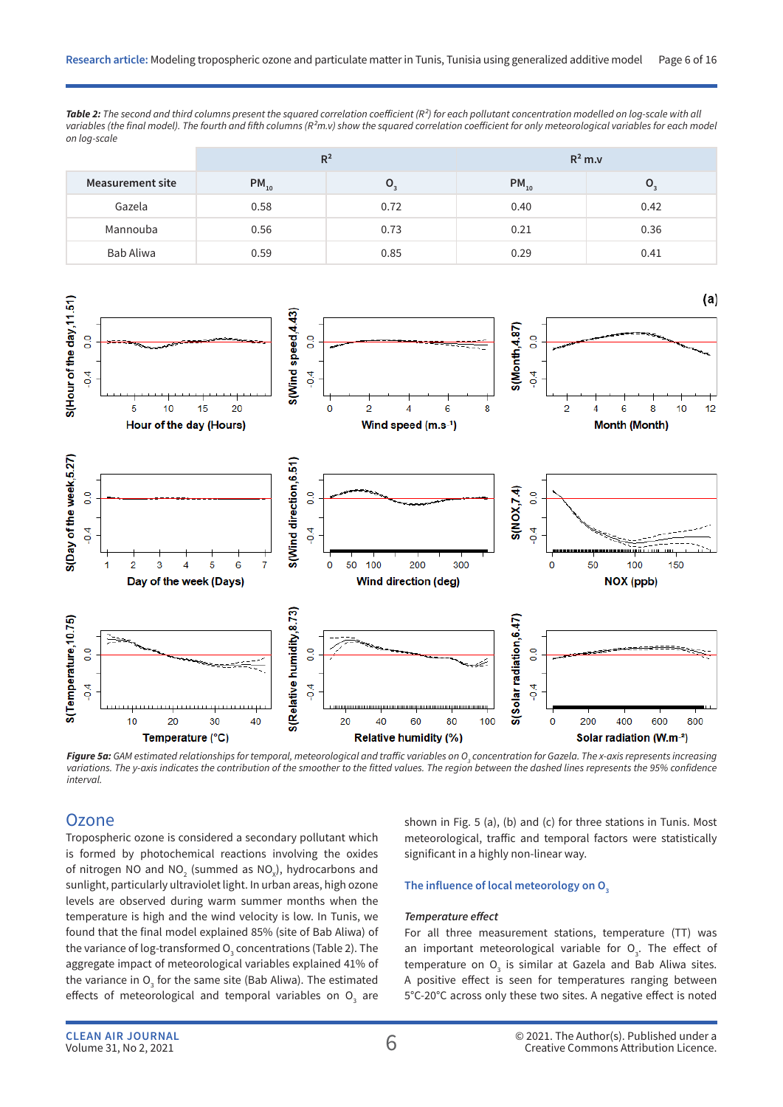*Table 2: The second and third columns present the squared correlation coefficient (R²) for each pollutant concentration modelled on log-scale with all*  variables (the final model). The fourth and fifth columns (R<sup>2</sup>m.v) show the squared correlation coefficient for only meteorological variables for each model *on log-scale*

|                         | $R^2$     |                  | $R^2$ m.v |      |  |
|-------------------------|-----------|------------------|-----------|------|--|
| <b>Measurement site</b> | $PM_{10}$ | $\mathbf{U}_{2}$ | $PM_{10}$ | ๛    |  |
| Gazela                  | 0.58      | 0.72             | 0.40      | 0.42 |  |
| Mannouba                | 0.56      | 0.73             | 0.21      | 0.36 |  |
| Bab Aliwa               | 0.59      | 0.85             | 0.29      | 0.41 |  |



**Figure 5a:** GAM estimated relationships for temporal, meteorological and traffic variables on O<sub>3</sub> concentration for Gazela. The x-axis represents increasing *variations. The y-axis indicates the contribution of the smoother to the fitted values. The region between the dashed lines represents the 95% confidence interval.*

### **Ozone**

Tropospheric ozone is considered a secondary pollutant which is formed by photochemical reactions involving the oxides of nitrogen NO and NO<sub>2</sub> (summed as NO<sub>x</sub>), hydrocarbons and sunlight, particularly ultraviolet light. In urban areas, high ozone levels are observed during warm summer months when the temperature is high and the wind velocity is low. In Tunis, we found that the final model explained 85% (site of Bab Aliwa) of the variance of log-transformed  ${\mathsf O}_{_{\!3}}$  concentrations (Table 2). The aggregate impact of meteorological variables explained 41% of the variance in  $O_{\frac{1}{3}}$  for the same site (Bab Aliwa). The estimated effects of meteorological and temporal variables on  $\mathsf{O}_{_3}$  are shown in Fig. 5 (a), (b) and (c) for three stations in Tunis. Most meteorological, traffic and temporal factors were statistically significant in a highly non-linear way.

#### The influence of local meteorology on O<sub>3</sub>

#### *Temperature effect*

For all three measurement stations, temperature (TT) was an important meteorological variable for  $O<sub>3</sub>$ . The effect of temperature on  $O_3$  is similar at Gazela and Bab Aliwa sites. A positive effect is seen for temperatures ranging between 5°C-20°C across only these two sites. A negative effect is noted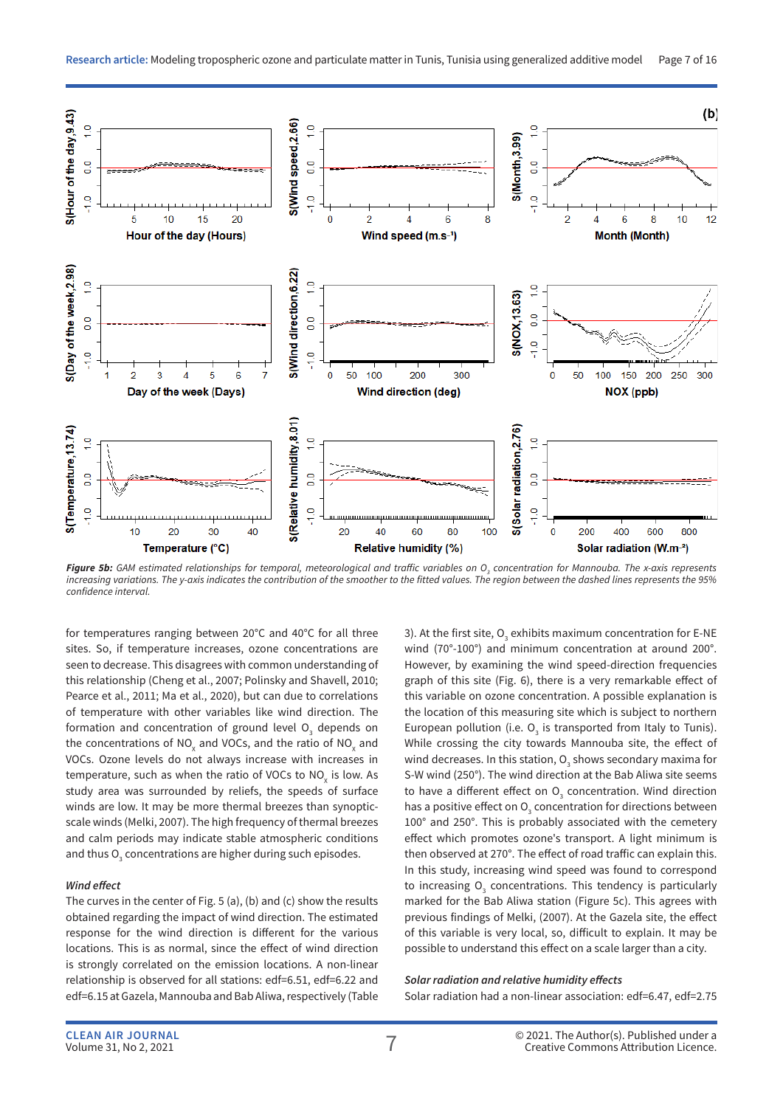

*Figure 5b: GAM estimated relationships for temporal, meteorological and traffic variables on O3 concentration for Mannouba. The x-axis represents increasing variations. The y-axis indicates the contribution of the smoother to the fitted values. The region between the dashed lines represents the 95% confidence interval.*

for temperatures ranging between 20°C and 40°C for all three sites. So, if temperature increases, ozone concentrations are seen to decrease. This disagrees with common understanding of this relationship (Cheng et al., 2007; Polinsky and Shavell, 2010; Pearce et al., 2011; Ma et al., 2020), but can due to correlations of temperature with other variables like wind direction. The formation and concentration of ground level  $\mathsf{O}_\mathfrak{z}$  depends on the concentrations of NO<sub>x</sub> and VOCs, and the ratio of NO<sub>x</sub> and VOCs. Ozone levels do not always increase with increases in temperature, such as when the ratio of VOCs to NO $_{\mathrm{x}}$  is low. As study area was surrounded by reliefs, the speeds of surface winds are low. It may be more thermal breezes than synopticscale winds (Melki, 2007). The high frequency of thermal breezes and calm periods may indicate stable atmospheric conditions and thus  ${\mathsf O}_{_3}$  concentrations are higher during such episodes.

#### *Wind effect*

The curves in the center of Fig. 5 (a), (b) and (c) show the results obtained regarding the impact of wind direction. The estimated response for the wind direction is different for the various locations. This is as normal, since the effect of wind direction is strongly correlated on the emission locations. A non-linear relationship is observed for all stations: edf=6.51, edf=6.22 and edf=6.15 at Gazela, Mannouba and Bab Aliwa, respectively (Table 3). At the first site,  $O_3$  exhibits maximum concentration for E-NE wind (70°-100°) and minimum concentration at around 200°. However, by examining the wind speed-direction frequencies graph of this site (Fig. 6), there is a very remarkable effect of this variable on ozone concentration. A possible explanation is the location of this measuring site which is subject to northern European pollution (i.e.  $O_3$  is transported from Italy to Tunis). While crossing the city towards Mannouba site, the effect of wind decreases. In this station,  $\overline{O}_{3}$  shows secondary maxima for S-W wind (250°). The wind direction at the Bab Aliwa site seems to have a different effect on  $O<sub>3</sub>$  concentration. Wind direction has a positive effect on  $O_3$  concentration for directions between 100° and 250°. This is probably associated with the cemetery effect which promotes ozone's transport. A light minimum is then observed at 270°. The effect of road traffic can explain this. In this study, increasing wind speed was found to correspond to increasing  $O_3$  concentrations. This tendency is particularly marked for the Bab Aliwa station (Figure 5c). This agrees with previous findings of Melki, (2007). At the Gazela site, the effect of this variable is very local, so, difficult to explain. It may be possible to understand this effect on a scale larger than a city.

#### *Solar radiation and relative humidity effects* Solar radiation had a non-linear association: edf=6.47, edf=2.75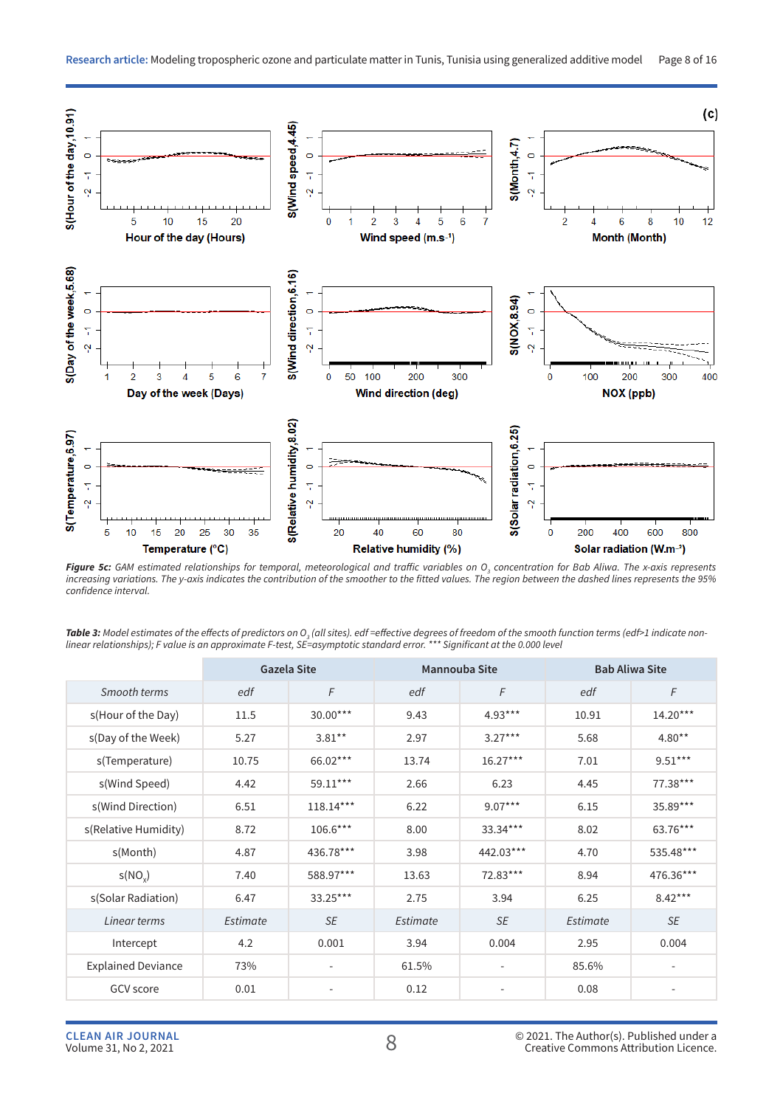

*Figure 5c: GAM estimated relationships for temporal, meteorological and traffic variables on O3 concentration for Bab Aliwa. The x-axis represents increasing variations. The y-axis indicates the contribution of the smoother to the fitted values. The region between the dashed lines represents the 95% confidence interval.*

|                           |          | <b>Gazela Site</b>       | <b>Mannouba Site</b> |                          | <b>Bab Aliwa Site</b> |            |
|---------------------------|----------|--------------------------|----------------------|--------------------------|-----------------------|------------|
| Smooth terms              | edf      | F                        | edf                  | F                        | edf                   | F          |
| s(Hour of the Day)        | 11.5     | 30.00***                 | 9.43                 | $4.93***$                | 10.91                 | $14.20***$ |
| s(Day of the Week)        | 5.27     | $3.81**$                 | 2.97                 | $3.27***$                | 5.68                  | $4.80**$   |
| s(Temperature)            | 10.75    | 66.02***                 | 13.74                | $16.27***$               | 7.01                  | $9.51***$  |
| s(Wind Speed)             | 4.42     | 59.11***                 | 2.66                 | 6.23                     | 4.45                  | 77.38***   |
| s(Wind Direction)         | 6.51     | $118.14***$              | 6.22                 | $9.07***$                | 6.15                  | $35.89***$ |
| s(Relative Humidity)      | 8.72     | 106.6***                 | 8.00                 | 33.34***                 | 8.02                  | 63.76***   |
| s(Month)                  | 4.87     | 436.78***                | 3.98                 | 442.03***                | 4.70                  | 535.48***  |
| s(NO <sub>v</sub> )       | 7.40     | 588.97***                | 13.63                | $72.83***$               | 8.94                  | 476.36***  |
| s(Solar Radiation)        | 6.47     | 33.25***                 | 2.75                 | 3.94                     | 6.25                  | $8.42***$  |
| Linear terms              | Estimate | SE                       | Estimate             | SE                       | Estimate              | SE         |
| Intercept                 | 4.2      | 0.001                    | 3.94                 | 0.004                    | 2.95                  | 0.004      |
| <b>Explained Deviance</b> | 73%      | $\overline{\phantom{a}}$ | 61.5%                | $\overline{\phantom{a}}$ | 85.6%                 | ۰.         |
| <b>GCV</b> score          | 0.01     | ٠                        | 0.12                 |                          | 0.08                  |            |

**Table 3:** Model estimates of the effects of predictors on O<sub>3</sub> (all sites). edf =effective degrees of freedom of the smooth function terms (edf>1 indicate non*linear relationships); F value is an approximate F-test, SE=asymptotic standard error. \*\*\* Significant at the 0.000 level*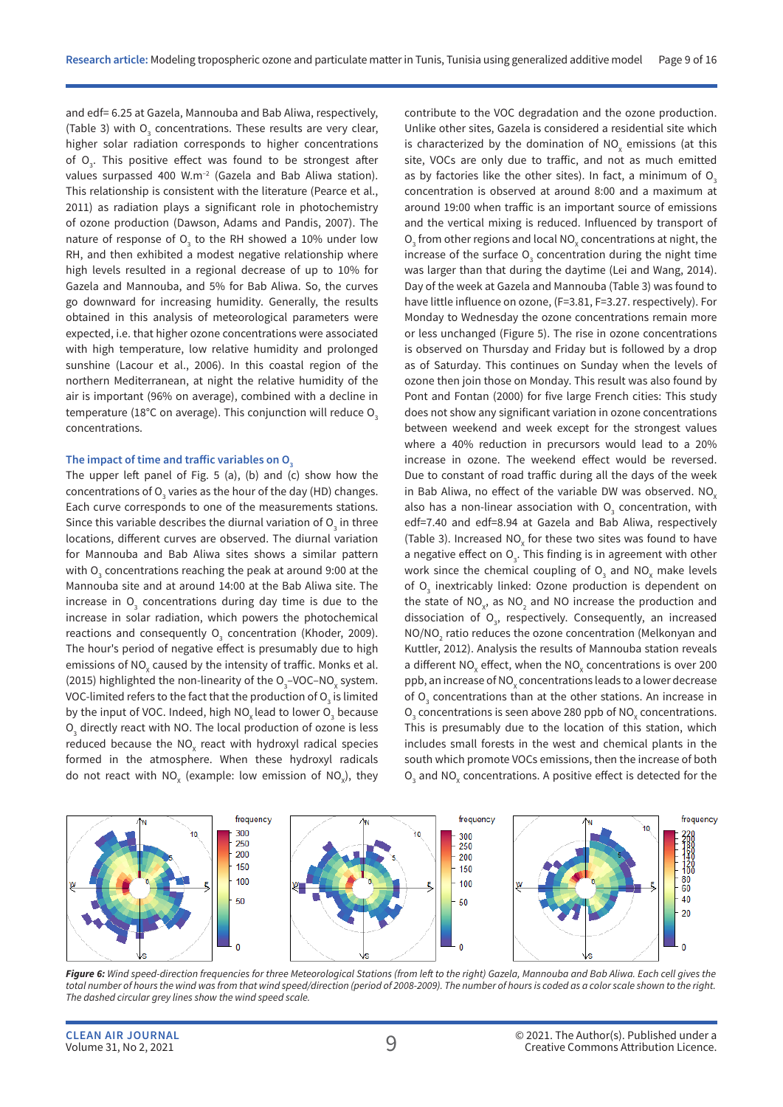and edf= 6.25 at Gazela, Mannouba and Bab Aliwa, respectively, (Table 3) with  $O_3$  concentrations. These results are very clear, higher solar radiation corresponds to higher concentrations of O<sub>3</sub>. This positive effect was found to be strongest after values surpassed 400 W.m–2 (Gazela and Bab Aliwa station). This relationship is consistent with the literature (Pearce et al., 2011) as radiation plays a significant role in photochemistry of ozone production (Dawson, Adams and Pandis, 2007). The nature of response of  $\overline{\mathrm{O}}_{_{\mathrm{3}}}$  to the RH showed a 10% under low RH, and then exhibited a modest negative relationship where high levels resulted in a regional decrease of up to 10% for Gazela and Mannouba, and 5% for Bab Aliwa. So, the curves go downward for increasing humidity. Generally, the results obtained in this analysis of meteorological parameters were expected, i.e. that higher ozone concentrations were associated with high temperature, low relative humidity and prolonged sunshine (Lacour et al., 2006). In this coastal region of the northern Mediterranean, at night the relative humidity of the air is important (96% on average), combined with a decline in temperature (18°C on average). This conjunction will reduce  $O<sub>3</sub>$ concentrations.

#### The impact of time and traffic variables on O<sub>3</sub>

The upper left panel of Fig. 5 (a), (b) and (c) show how the concentrations of O $_{_3}$  varies as the hour of the day (HD) changes. Each curve corresponds to one of the measurements stations. Since this variable describes the diurnal variation of  ${\sf O}_{_{\rm 3}}$  in three locations, different curves are observed. The diurnal variation for Mannouba and Bab Aliwa sites shows a similar pattern with O $_3$  concentrations reaching the peak at around 9:00 at the Mannouba site and at around 14:00 at the Bab Aliwa site. The increase in  $O_3$  concentrations during day time is due to the increase in solar radiation, which powers the photochemical reactions and consequently  $\overline{\mathrm{O}}_{_{3}}$  concentration (Khoder, 2009). The hour's period of negative effect is presumably due to high emissions of NO $_{\mathrm{\mathsf{x}}}$  caused by the intensity of traffic. Monks et al. (2015) highlighted the non-linearity of the  $O_3$ -VOC-NO<sub>x</sub> system. VOC-limited refers to the fact that the production of  ${\mathsf O}_{_{\mathsf 3}}$  is limited by the input of VOC. Indeed, high NO<sub>x</sub> lead to lower O<sub>3</sub> because  $\mathsf{O}_{\mathsf{3}}$  directly react with NO. The local production of ozone is less reduced because the NO<sub>x</sub> react with hydroxyl radical species formed in the atmosphere. When these hydroxyl radicals do not react with NO<sub>x</sub> (example: low emission of NO<sub>x</sub>), they contribute to the VOC degradation and the ozone production. Unlike other sites, Gazela is considered a residential site which is characterized by the domination of  $NO_x$  emissions (at this site, VOCs are only due to traffic, and not as much emitted as by factories like the other sites). In fact, a minimum of  $O<sub>3</sub>$ concentration is observed at around 8:00 and a maximum at around 19:00 when traffic is an important source of emissions and the vertical mixing is reduced. Influenced by transport of  $\mathsf{O}_{\mathsf{3}}$  from other regions and local NO<sub>x</sub> concentrations at night, the increase of the surface  $O_3$  concentration during the night time was larger than that during the daytime (Lei and Wang, 2014). Day of the week at Gazela and Mannouba (Table 3) was found to have little influence on ozone, (F=3.81, F=3.27. respectively). For Monday to Wednesday the ozone concentrations remain more or less unchanged (Figure 5). The rise in ozone concentrations is observed on Thursday and Friday but is followed by a drop as of Saturday. This continues on Sunday when the levels of ozone then join those on Monday. This result was also found by Pont and Fontan (2000) for five large French cities: This study does not show any significant variation in ozone concentrations between weekend and week except for the strongest values where a 40% reduction in precursors would lead to a 20% increase in ozone. The weekend effect would be reversed. Due to constant of road traffic during all the days of the week in Bab Aliwa, no effect of the variable DW was observed. NO. also has a non-linear association with  $O<sub>3</sub>$  concentration, with edf=7.40 and edf=8.94 at Gazela and Bab Aliwa, respectively (Table 3). Increased  $NO<sub>x</sub>$  for these two sites was found to have a negative effect on  $O_{3}$ . This finding is in agreement with other work since the chemical coupling of  $O_3$  and  $NO_\chi$  make levels of  $O_3$  inextricably linked: Ozone production is dependent on the state of  $NO<sub>x</sub>$ , as  $NO<sub>2</sub>$  and NO increase the production and dissociation of  $O<sub>3</sub>$ , respectively. Consequently, an increased  $NO/NO<sub>2</sub>$  ratio reduces the ozone concentration (Melkonyan and Kuttler, 2012). Analysis the results of Mannouba station reveals a different NO<sub>x</sub> effect, when the NO<sub>x</sub> concentrations is over 200 ppb, an increase of NO<sub>x</sub> concentrations leads to a lower decrease of  $O<sub>3</sub>$  concentrations than at the other stations. An increase in  $O_3$  concentrations is seen above 280 ppb of NO<sub>x</sub> concentrations. This is presumably due to the location of this station, which includes small forests in the west and chemical plants in the south which promote VOCs emissions, then the increase of both  $O_3$  and NO<sub>x</sub> concentrations. A positive effect is detected for the



*Figure 6: Wind speed-direction frequencies for three Meteorological Stations (from left to the right) Gazela, Mannouba and Bab Aliwa. Each cell gives the total number of hours the wind was from that wind speed/direction (period of 2008-2009). The number of hours is coded as a color scale shown to the right. The dashed circular grey lines show the wind speed scale.*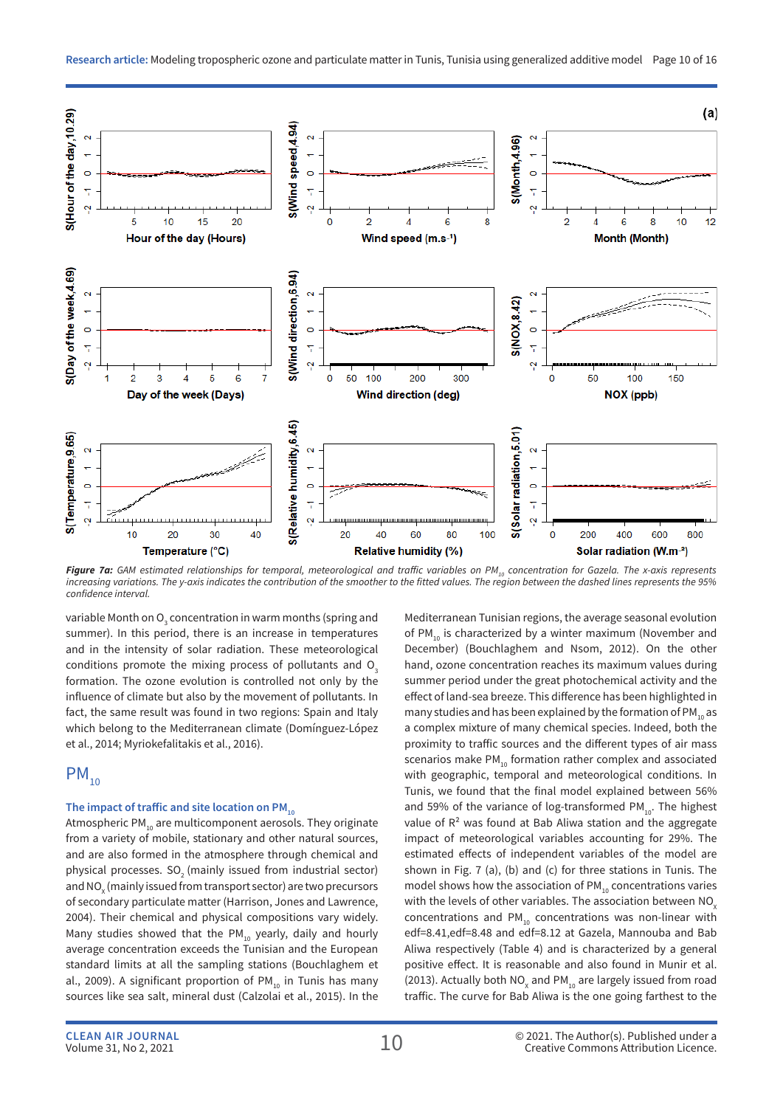

**Figure 7a:** GAM estimated relationships for temporal, meteorological and traffic variables on PM<sub>10</sub> concentration for Gazela. The x-axis represents *increasing variations. The y-axis indicates the contribution of the smoother to the fitted values. The region between the dashed lines represents the 95% confidence interval.*

variable Month on  ${\mathsf O}_{\!_3}$  concentration in warm months (spring and summer). In this period, there is an increase in temperatures and in the intensity of solar radiation. These meteorological conditions promote the mixing process of pollutants and  $O_3$ formation. The ozone evolution is controlled not only by the influence of climate but also by the movement of pollutants. In fact, the same result was found in two regions: Spain and Italy which belong to the Mediterranean climate (Domínguez-López et al., 2014; Myriokefalitakis et al., 2016).

## $PM_{10}$

#### The impact of traffic and site location on PM<sub>10</sub>

Atmospheric PM $_{10}$  are multicomponent aerosols. They originate from a variety of mobile, stationary and other natural sources, and are also formed in the atmosphere through chemical and physical processes. SO<sub>2</sub> (mainly issued from industrial sector) and NO $_{\sf x}$  (mainly issued from transport sector) are two precursors of secondary particulate matter (Harrison, Jones and Lawrence, 2004). Their chemical and physical compositions vary widely. Many studies showed that the PM $_{10}$  yearly, daily and hourly average concentration exceeds the Tunisian and the European standard limits at all the sampling stations (Bouchlaghem et al., 2009). A significant proportion of PM $_{10}$  in Tunis has many sources like sea salt, mineral dust (Calzolai et al., 2015). In the

Mediterranean Tunisian regions, the average seasonal evolution of PM<sub>10</sub> is characterized by a winter maximum (November and December) (Bouchlaghem and Nsom, 2012). On the other hand, ozone concentration reaches its maximum values during summer period under the great photochemical activity and the effect of land-sea breeze. This difference has been highlighted in many studies and has been explained by the formation of PM $_{10}$  as a complex mixture of many chemical species. Indeed, both the proximity to traffic sources and the different types of air mass scenarios make  $PM_{10}$  formation rather complex and associated with geographic, temporal and meteorological conditions. In Tunis, we found that the final model explained between 56% and 59% of the variance of log-transformed  $PM_{10}$ . The highest value of  $R<sup>2</sup>$  was found at Bab Aliwa station and the aggregate impact of meteorological variables accounting for 29%. The estimated effects of independent variables of the model are shown in Fig. 7 (a), (b) and (c) for three stations in Tunis. The model shows how the association of  $PM_{10}$  concentrations varies with the levels of other variables. The association between  $NO<sub>x</sub>$ concentrations and  $PM_{10}$  concentrations was non-linear with edf=8.41,edf=8.48 and edf=8.12 at Gazela, Mannouba and Bab Aliwa respectively (Table 4) and is characterized by a general positive effect. It is reasonable and also found in Munir et al. (2013). Actually both  $NO_{x}$  and PM<sub>10</sub> are largely issued from road traffic. The curve for Bab Aliwa is the one going farthest to the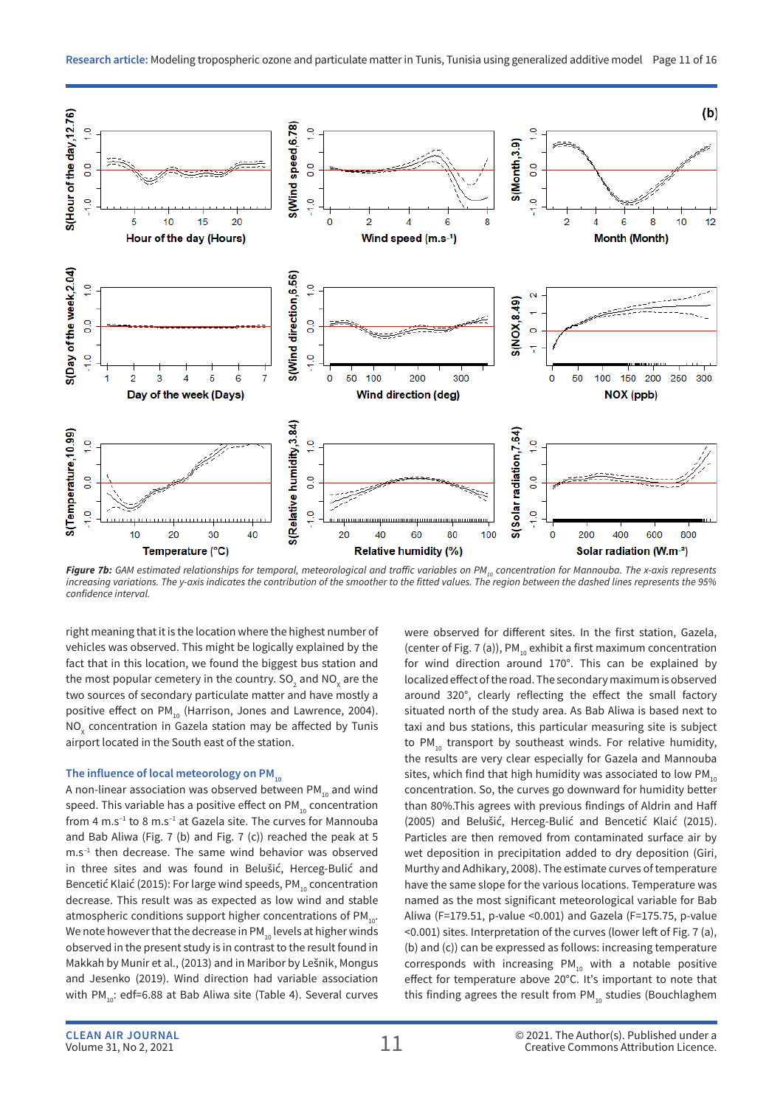

**Figure 7b:** GAM estimated relationships for temporal, meteorological and traffic variables on PM<sub>10</sub> concentration for Mannouba. The x-axis represents *increasing variations. The y-axis indicates the contribution of the smoother to the fitted values. The region between the dashed lines represents the 95% confidence interval.*

right meaning that it is the location where the highest number of vehicles was observed. This might be logically explained by the fact that in this location, we found the biggest bus station and the most popular cemetery in the country. SO<sub>2</sub> and NO<sub>x</sub> are the two sources of secondary particulate matter and have mostly a positive effect on  $PM_{10}$  (Harrison, Jones and Lawrence, 2004).  $\overline{\text{NO}}_{\text{x}}$  concentration in Gazela station may be affected by Tunis airport located in the South east of the station.

#### The influence of local meteorology on PM<sub>10</sub>

A non-linear association was observed between  $PM_{10}$  and wind speed. This variable has a positive effect on  $PM_{10}$  concentration from 4 m.s<sup>-1</sup> to 8 m.s<sup>-1</sup> at Gazela site. The curves for Mannouba and Bab Aliwa (Fig. 7 (b) and Fig. 7 (c)) reached the peak at 5  $m.s^{-1}$  then decrease. The same wind behavior was observed in three sites and was found in Belušić, Herceg-Bulić and Bencetić Klaić (2015): For large wind speeds, PM<sub>10</sub> concentration decrease. This result was as expected as low wind and stable atmospheric conditions support higher concentrations of  $PM_{10}$ . We note however that the decrease in PM<sub>10</sub> levels at higher winds observed in the present study is in contrast to the result found in Makkah by Munir et al., (2013) and in Maribor by Lešnik, Mongus and Jesenko (2019). Wind direction had variable association with PM<sub>10</sub>: edf=6.88 at Bab Aliwa site (Table 4). Several curves were observed for different sites. In the first station, Gazela, (center of Fig. 7 (a)),  $PM_{10}$  exhibit a first maximum concentration for wind direction around 170°. This can be explained by localized effect of the road. The secondary maximum is observed around 320°, clearly reflecting the effect the small factory situated north of the study area. As Bab Aliwa is based next to taxi and bus stations, this particular measuring site is subject to  $PM_{10}$  transport by southeast winds. For relative humidity, the results are very clear especially for Gazela and Mannouba sites, which find that high humidity was associated to low  $PM_{10}$ concentration. So, the curves go downward for humidity better than 80%.This agrees with previous findings of Aldrin and Haff (2005) and Belušić, Herceg-Bulić and Bencetić Klaić (2015). Particles are then removed from contaminated surface air by wet deposition in precipitation added to dry deposition (Giri, Murthy and Adhikary, 2008). The estimate curves of temperature have the same slope for the various locations. Temperature was named as the most significant meteorological variable for Bab Aliwa (F=179.51, p-value <0.001) and Gazela (F=175.75, p-value <0.001) sites. Interpretation of the curves (lower left of Fig. 7 (a), (b) and (c)) can be expressed as follows: increasing temperature corresponds with increasing PM $_{10}$  with a notable positive effect for temperature above 20°C. It's important to note that this finding agrees the result from  $PM_{10}$  studies (Bouchlaghem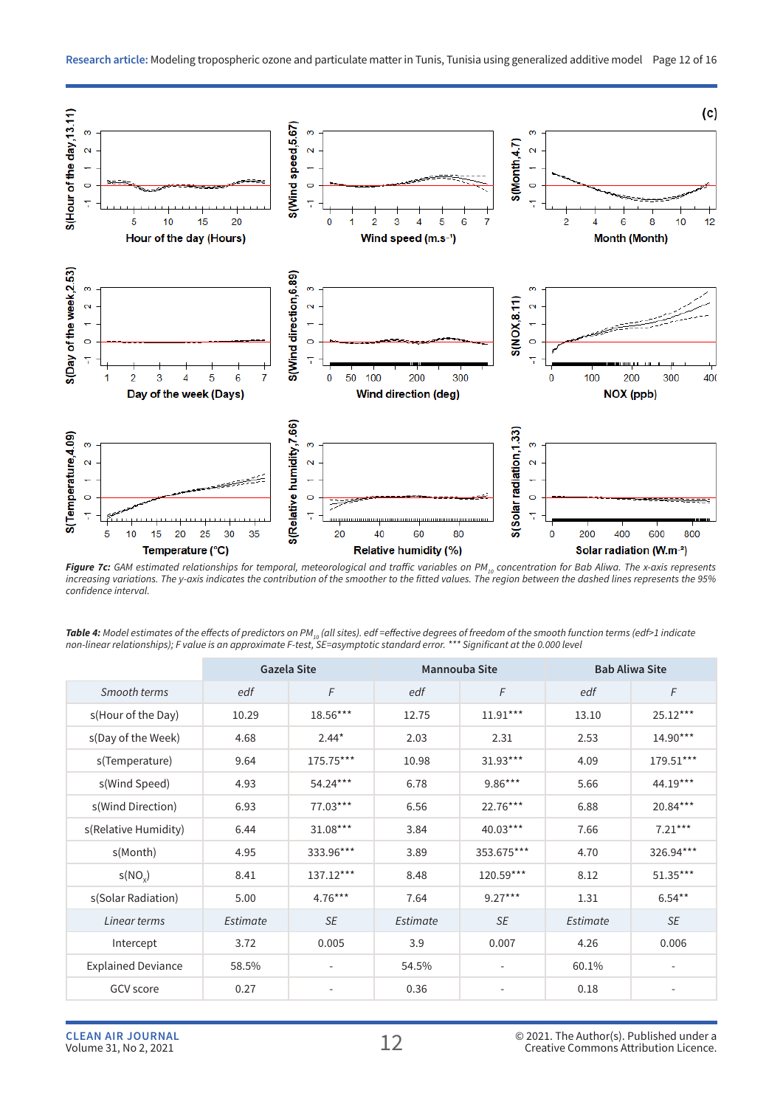

Figure 7c: GAM estimated relationships for temporal, meteorological and traffic variables on PM<sub>10</sub> concentration for Bab Aliwa. The x-axis represents *increasing variations. The y-axis indicates the contribution of the smoother to the fitted values. The region between the dashed lines represents the 95% confidence interval.*

|                           |          | <b>Gazela Site</b> | <b>Mannouba Site</b> |                          | <b>Bab Aliwa Site</b> |                          |
|---------------------------|----------|--------------------|----------------------|--------------------------|-----------------------|--------------------------|
| Smooth terms              | edf      | F                  | edf                  | F                        | edf                   | F                        |
| s(Hour of the Day)        | 10.29    | 18.56***           | 12.75                | $11.91***$               | 13.10                 | 25.12***                 |
| s(Day of the Week)        | 4.68     | $2.44*$            | 2.03                 | 2.31                     | 2.53                  | $14.90***$               |
| s(Temperature)            | 9.64     | 175.75***          | 10.98                | $31.93***$               | 4.09                  | 179.51***                |
| s(Wind Speed)             | 4.93     | 54.24***           | 6.78                 | $9.86***$                | 5.66                  | 44.19***                 |
| s(Wind Direction)         | 6.93     | 77.03***           | 6.56                 | 22.76***                 | 6.88                  | 20.84***                 |
| s(Relative Humidity)      | 6.44     | $31.08***$         | 3.84                 | $40.03***$               | 7.66                  | $7.21***$                |
| s(Month)                  | 4.95     | 333.96***          | 3.89                 | 353.675***               | 4.70                  | 326.94***                |
| s(NO <sub>x</sub> )       | 8.41     | 137.12***          | 8.48                 | 120.59***                | 8.12                  | 51.35***                 |
| s(Solar Radiation)        | 5.00     | $4.76***$          | 7.64                 | $9.27***$                | 1.31                  | $6.54***$                |
| Linear terms              | Estimate | <b>SE</b>          | Estimate             | SE                       | Estimate              | SE                       |
| Intercept                 | 3.72     | 0.005              | 3.9                  | 0.007                    | 4.26                  | 0.006                    |
| <b>Explained Deviance</b> | 58.5%    | -                  | 54.5%                | $\overline{\phantom{a}}$ | 60.1%                 | $\overline{\phantom{a}}$ |
| GCV score                 | 0.27     | ٠                  | 0.36                 | ٠                        | 0.18                  |                          |

**Table 4:** Model estimates of the effects of predictors on PM<sub>10</sub> (all sites). edf =effective degrees of freedom of the smooth function terms (edf>1 indicate<br>non-linear relationships); F value is an approximate F-test, SE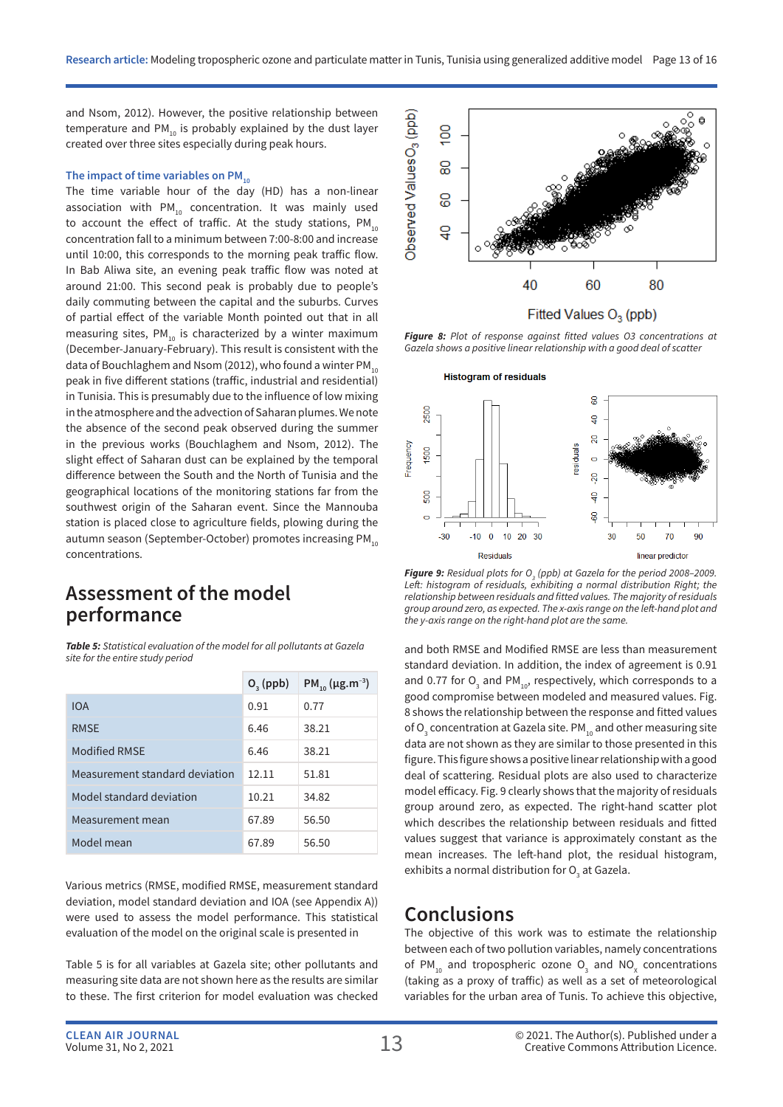and Nsom, 2012). However, the positive relationship between temperature and  $PM_{10}$  is probably explained by the dust layer created over three sites especially during peak hours.

#### The impact of time variables on PM<sub>10</sub>

The time variable hour of the day (HD) has a non-linear association with  $PM_{10}$  concentration. It was mainly used to account the effect of traffic. At the study stations,  $PM_{10}$ concentration fall to a minimum between 7:00-8:00 and increase until 10:00, this corresponds to the morning peak traffic flow. In Bab Aliwa site, an evening peak traffic flow was noted at around 21:00. This second peak is probably due to people's daily commuting between the capital and the suburbs. Curves of partial effect of the variable Month pointed out that in all measuring sites,  $PM_{10}$  is characterized by a winter maximum (December-January-February). This result is consistent with the data of Bouchlaghem and Nsom (2012), who found a winter  $PM_{10}$ peak in five different stations (traffic, industrial and residential) in Tunisia. This is presumably due to the influence of low mixing in the atmosphere and the advection of Saharan plumes. We note the absence of the second peak observed during the summer in the previous works (Bouchlaghem and Nsom, 2012). The slight effect of Saharan dust can be explained by the temporal difference between the South and the North of Tunisia and the geographical locations of the monitoring stations far from the southwest origin of the Saharan event. Since the Mannouba station is placed close to agriculture fields, plowing during the autumn season (September-October) promotes increasing PM<sub>10</sub> concentrations.

### **Assessment of the model performance**

*Table 5: Statistical evaluation of the model for all pollutants at Gazela site for the entire study period*

|                                | $O3$ (ppb) | PM <sub>10</sub> ( $\mu$ g.m <sup>-3</sup> ) |
|--------------------------------|------------|----------------------------------------------|
| IOA                            | 0.91       | 0.77                                         |
| <b>RMSE</b>                    | 6.46       | 38.21                                        |
| Modified RMSF                  | 6.46       | 38.21                                        |
| Measurement standard deviation | 12.11      | 51.81                                        |
| Model standard deviation       | 10.21      | 34.82                                        |
| Measurement mean               | 67.89      | 56.50                                        |
| Model mean                     | 67.89      | 56.50                                        |

Various metrics (RMSE, modified RMSE, measurement standard deviation, model standard deviation and IOA (see Appendix A)) were used to assess the model performance. This statistical evaluation of the model on the original scale is presented in

Table 5 is for all variables at Gazela site; other pollutants and measuring site data are not shown here as the results are similar to these. The first criterion for model evaluation was checked



*Figure 8: Plot of response against fitted values O3 concentrations at Gazela shows a positive linear relationship with a good deal of scatter*



**Figure 9:** Residual plots for  $O_3$  (ppb) at Gazela for the period 2008–2009. Left: histogram of residuals, exhibiting a normal distribution Right; the *relationship between residuals and fitted values. The majority of residuals group around zero, as expected. The x-axis range on the left-hand plot and the y-axis range on the right-hand plot are the same.*

and both RMSE and Modified RMSE are less than measurement standard deviation. In addition, the index of agreement is 0.91 and 0.77 for  $O_3$  and PM<sub>10</sub>, respectively, which corresponds to a good compromise between modeled and measured values. Fig. 8 shows the relationship between the response and fitted values of  $\mathrm{O}_3$  concentration at Gazela site. PM $_{10}$  and other measuring site data are not shown as they are similar to those presented in this figure. This figure shows a positive linear relationship with a good deal of scattering. Residual plots are also used to characterize model efficacy. Fig. 9 clearly shows that the majority of residuals group around zero, as expected. The right-hand scatter plot which describes the relationship between residuals and fitted values suggest that variance is approximately constant as the mean increases. The left-hand plot, the residual histogram, exhibits a normal distribution for  ${\mathsf O}_{_{\!3}}$  at Gazela.

### **Conclusions**

The objective of this work was to estimate the relationship between each of two pollution variables, namely concentrations of PM<sub>10</sub> and tropospheric ozone  $O_3$  and NO<sub>x</sub> concentrations (taking as a proxy of traffic) as well as a set of meteorological variables for the urban area of Tunis. To achieve this objective,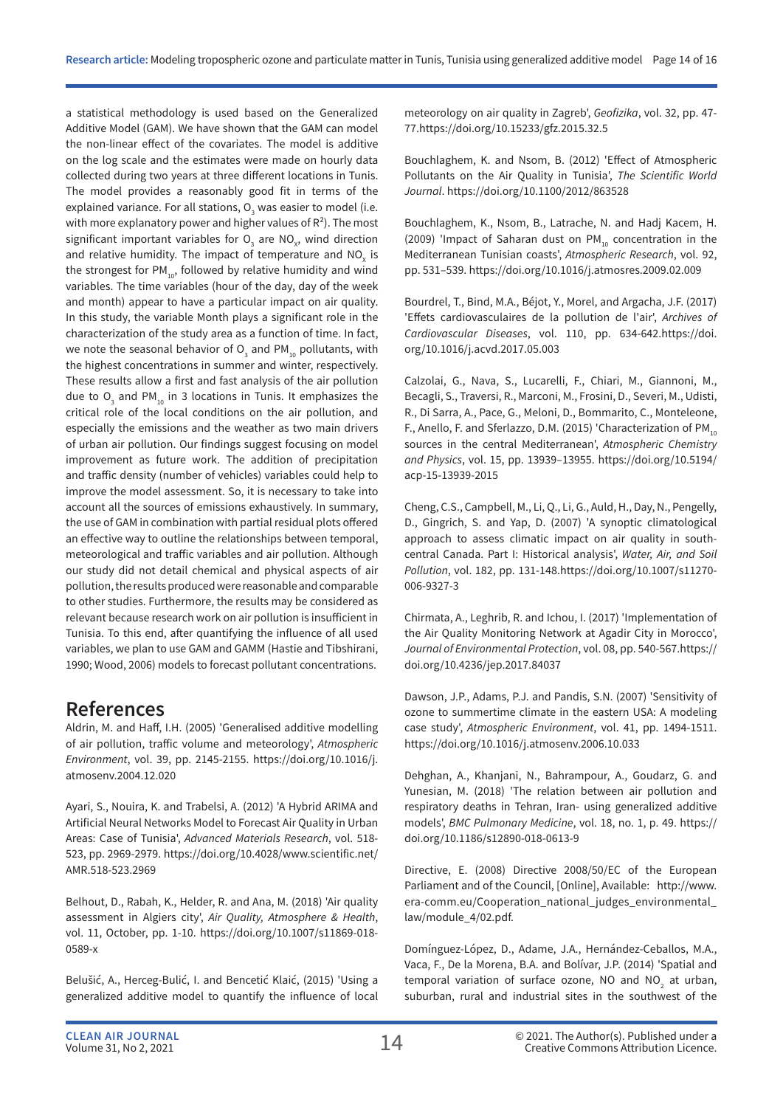a statistical methodology is used based on the Generalized Additive Model (GAM). We have shown that the GAM can model the non-linear effect of the covariates. The model is additive on the log scale and the estimates were made on hourly data collected during two years at three different locations in Tunis. The model provides a reasonably good fit in terms of the explained variance. For all stations,  ${\mathsf O}_{_{\!3}}$  was easier to model (i.e. with more explanatory power and higher values of  $R^2$ ). The most significant important variables for  $\mathsf{O}_3$  are NO<sub>x</sub>, wind direction and relative humidity. The impact of temperature and NO<sub>x</sub> is the strongest for  $PM_{10}$ , followed by relative humidity and wind variables. The time variables (hour of the day, day of the week and month) appear to have a particular impact on air quality. In this study, the variable Month plays a significant role in the characterization of the study area as a function of time. In fact, we note the seasonal behavior of  $\overline{\mathsf{O}}_{_{3}}$  and PM $_{_{10}}$  pollutants, with the highest concentrations in summer and winter, respectively. These results allow a first and fast analysis of the air pollution due to  $O_3$  and PM<sub>10</sub> in 3 locations in Tunis. It emphasizes the critical role of the local conditions on the air pollution, and especially the emissions and the weather as two main drivers of urban air pollution. Our findings suggest focusing on model improvement as future work. The addition of precipitation and traffic density (number of vehicles) variables could help to improve the model assessment. So, it is necessary to take into account all the sources of emissions exhaustively. In summary, the use of GAM in combination with partial residual plots offered an effective way to outline the relationships between temporal, meteorological and traffic variables and air pollution. Although our study did not detail chemical and physical aspects of air pollution, the results produced were reasonable and comparable to other studies. Furthermore, the results may be considered as relevant because research work on air pollution is insufficient in Tunisia. To this end, after quantifying the influence of all used variables, we plan to use GAM and GAMM (Hastie and Tibshirani, 1990; Wood, 2006) models to forecast pollutant concentrations.

## **References**

Aldrin, M. and Haff, I.H. (2005) 'Generalised additive modelling of air pollution, traffic volume and meteorology', *Atmospheric Environment*, vol. 39, pp. 2145-2155. https://doi.org/10.1016/j. atmosenv.2004.12.020

Ayari, S., Nouira, K. and Trabelsi, A. (2012) 'A Hybrid ARIMA and Artificial Neural Networks Model to Forecast Air Quality in Urban Areas: Case of Tunisia', *Advanced Materials Research*, vol. 518- 523, pp. 2969-2979. https://doi.org/10.4028/www.scientific.net/ AMR.518-523.2969

Belhout, D., Rabah, K., Helder, R. and Ana, M. (2018) 'Air quality assessment in Algiers city', *Air Quality, Atmosphere & Health*, vol. 11, October, pp. 1-10. https://doi.org/10.1007/s11869-018- 0589-x

Belušić, A., Herceg-Bulić, I. and Bencetić Klaić, (2015) 'Using a generalized additive model to quantify the influence of local meteorology on air quality in Zagreb', *Geofizika*, vol. 32, pp. 47- 77.https://doi.org/10.15233/gfz.2015.32.5

Bouchlaghem, K. and Nsom, B. (2012) 'Effect of Atmospheric Pollutants on the Air Quality in Tunisia', *The Scientific World Journal*. https://doi.org/10.1100/2012/863528

Bouchlaghem, K., Nsom, B., Latrache, N. and Hadj Kacem, H. (2009) 'Impact of Saharan dust on PM<sub>10</sub> concentration in the Mediterranean Tunisian coasts', *Atmospheric Research*, vol. 92, pp. 531–539. https://doi.org/10.1016/j.atmosres.2009.02.009

Bourdrel, T., Bind, M.A., Béjot, Y., Morel, and Argacha, J.F. (2017) 'Effets cardiovasculaires de la pollution de l'air', *Archives of Cardiovascular Diseases*, vol. 110, pp. 634-642.https://doi. org/10.1016/j.acvd.2017.05.003

Calzolai, G., Nava, S., Lucarelli, F., Chiari, M., Giannoni, M., Becagli, S., Traversi, R., Marconi, M., Frosini, D., Severi, M., Udisti, R., Di Sarra, A., Pace, G., Meloni, D., Bommarito, C., Monteleone, F., Anello, F. and Sferlazzo, D.M. (2015) 'Characterization of PM<sub>10</sub> sources in the central Mediterranean', *Atmospheric Chemistry and Physics*, vol. 15, pp. 13939–13955. https://doi.org/10.5194/ acp-15-13939-2015

Cheng, C.S., Campbell, M., Li, Q., Li, G., Auld, H., Day, N., Pengelly, D., Gingrich, S. and Yap, D. (2007) 'A synoptic climatological approach to assess climatic impact on air quality in southcentral Canada. Part I: Historical analysis', *Water, Air, and Soil Pollution*, vol. 182, pp. 131-148.https://doi.org/10.1007/s11270- 006-9327-3

Chirmata, A., Leghrib, R. and Ichou, I. (2017) 'Implementation of the Air Quality Monitoring Network at Agadir City in Morocco', *Journal of Environmental Protection*, vol. 08, pp. 540-567.https:// doi.org/10.4236/jep.2017.84037

Dawson, J.P., Adams, P.J. and Pandis, S.N. (2007) 'Sensitivity of ozone to summertime climate in the eastern USA: A modeling case study', *Atmospheric Environment*, vol. 41, pp. 1494-1511. https://doi.org/10.1016/j.atmosenv.2006.10.033

Dehghan, A., Khanjani, N., Bahrampour, A., Goudarz, G. and Yunesian, M. (2018) 'The relation between air pollution and respiratory deaths in Tehran, Iran- using generalized additive models', *BMC Pulmonary Medicine*, vol. 18, no. 1, p. 49. https:// doi.org/10.1186/s12890-018-0613-9

Directive, E. (2008) Directive 2008/50/EC of the European Parliament and of the Council, [Online], Available: http://www. era-comm.eu/Cooperation\_national\_judges\_environmental\_ law/module\_4/02.pdf.

Domínguez-López, D., Adame, J.A., Hernández-Ceballos, M.A., Vaca, F., De la Morena, B.A. and Bolívar, J.P. (2014) 'Spatial and temporal variation of surface ozone, NO and  $NO<sub>2</sub>$  at urban, suburban, rural and industrial sites in the southwest of the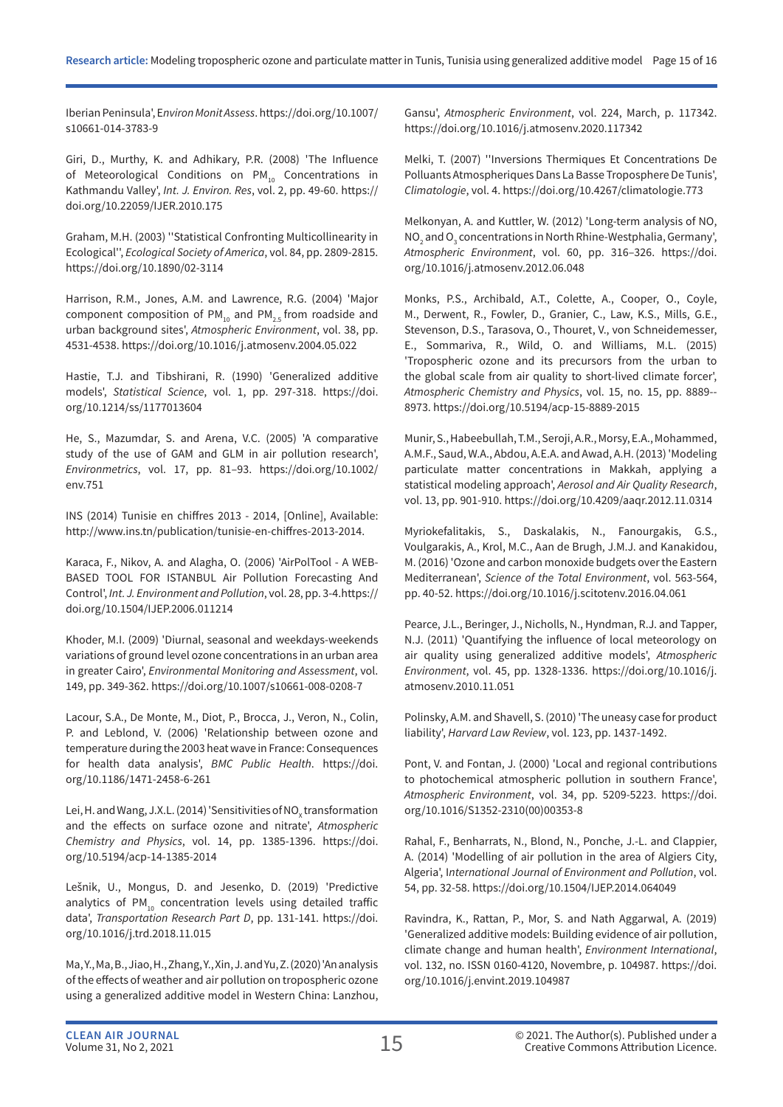Iberian Peninsula', E*nviron Monit Assess*. https://doi.org/10.1007/ s10661-014-3783-9

Giri, D., Murthy, K. and Adhikary, P.R. (2008) 'The Influence of Meteorological Conditions on PM<sub>10</sub> Concentrations in Kathmandu Valley', *Int. J. Environ. Res*, vol. 2, pp. 49-60. https:// doi.org/10.22059/IJER.2010.175

Graham, M.H. (2003) ''Statistical Confronting Multicollinearity in Ecological'', *Ecological Society of America*, vol. 84, pp. 2809-2815. https://doi.org/10.1890/02-3114

Harrison, R.M., Jones, A.M. and Lawrence, R.G. (2004) 'Major component composition of  $PM_{10}$  and  $PM_{25}$  from roadside and urban background sites', *Atmospheric Environment*, vol. 38, pp. 4531-4538. https://doi.org/10.1016/j.atmosenv.2004.05.022

Hastie, T.J. and Tibshirani, R. (1990) 'Generalized additive models', *Statistical Science*, vol. 1, pp. 297-318. https://doi. org/10.1214/ss/1177013604

He, S., Mazumdar, S. and Arena, V.C. (2005) 'A comparative study of the use of GAM and GLM in air pollution research', *Environmetrics*, vol. 17, pp. 81–93. https://doi.org/10.1002/ env.751

INS (2014) Tunisie en chiffres 2013 - 2014, [Online], Available: http://www.ins.tn/publication/tunisie-en-chiffres-2013-2014.

Karaca, F., Nikov, A. and Alagha, O. (2006) 'AirPolTool - A WEB-BASED TOOL FOR ISTANBUL Air Pollution Forecasting And Control', *Int. J. Environment and Pollution*, vol. 28, pp. 3-4.https:// doi.org/10.1504/IJEP.2006.011214

Khoder, M.I. (2009) 'Diurnal, seasonal and weekdays-weekends variations of ground level ozone concentrations in an urban area in greater Cairo', *Environmental Monitoring and Assessment*, vol. 149, pp. 349-362. https://doi.org/10.1007/s10661-008-0208-7

Lacour, S.A., De Monte, M., Diot, P., Brocca, J., Veron, N., Colin, P. and Leblond, V. (2006) 'Relationship between ozone and temperature during the 2003 heat wave in France: Consequences for health data analysis', *BMC Public Health*. https://doi. org/10.1186/1471-2458-6-261

Lei, H. and Wang, J.X.L. (2014) 'Sensitivities of NO $_{\mathrm{\chi}}$ transformation and the effects on surface ozone and nitrate', *Atmospheric Chemistry and Physics*, vol. 14, pp. 1385-1396. https://doi. org/10.5194/acp-14-1385-2014

Lešnik, U., Mongus, D. and Jesenko, D. (2019) 'Predictive analytics of  $PM_{10}$  concentration levels using detailed traffic data', *Transportation Research Part D*, pp. 131-141. https://doi. org/10.1016/j.trd.2018.11.015

Ma, Y., Ma, B., Jiao, H., Zhang, Y., Xin, J. and Yu, Z. (2020) 'An analysis of the effects of weather and air pollution on tropospheric ozone using a generalized additive model in Western China: Lanzhou, Gansu', *Atmospheric Environment*, vol. 224, March, p. 117342. https://doi.org/10.1016/j.atmosenv.2020.117342

Melki, T. (2007) ''Inversions Thermiques Et Concentrations De Polluants Atmospheriques Dans La Basse Troposphere De Tunis', *Climatologie*, vol. 4. https://doi.org/10.4267/climatologie.773

Melkonyan, A. and Kuttler, W. (2012) 'Long-term analysis of NO,  $\mathsf{NO}_2$  and  $\mathsf{O}_3$  concentrations in North Rhine-Westphalia, Germany', *Atmospheric Environment*, vol. 60, pp. 316–326. https://doi. org/10.1016/j.atmosenv.2012.06.048

Monks, P.S., Archibald, A.T., Colette, A., Cooper, O., Coyle, M., Derwent, R., Fowler, D., Granier, C., Law, K.S., Mills, G.E., Stevenson, D.S., Tarasova, O., Thouret, V., von Schneidemesser, E., Sommariva, R., Wild, O. and Williams, M.L. (2015) 'Tropospheric ozone and its precursors from the urban to the global scale from air quality to short-lived climate forcer', *Atmospheric Chemistry and Physics*, vol. 15, no. 15, pp. 8889-- 8973. https://doi.org/10.5194/acp-15-8889-2015

Munir, S., Habeebullah, T.M., Seroji, A.R., Morsy, E.A., Mohammed, A.M.F., Saud, W.A., Abdou, A.E.A. and Awad, A.H. (2013) 'Modeling particulate matter concentrations in Makkah, applying a statistical modeling approach', *Aerosol and Air Quality Research*, vol. 13, pp. 901-910. https://doi.org/10.4209/aaqr.2012.11.0314

Myriokefalitakis, S., Daskalakis, N., Fanourgakis, G.S., Voulgarakis, A., Krol, M.C., Aan de Brugh, J.M.J. and Kanakidou, M. (2016) 'Ozone and carbon monoxide budgets over the Eastern Mediterranean', *Science of the Total Environment*, vol. 563-564, pp. 40-52. https://doi.org/10.1016/j.scitotenv.2016.04.061

Pearce, J.L., Beringer, J., Nicholls, N., Hyndman, R.J. and Tapper, N.J. (2011) 'Quantifying the influence of local meteorology on air quality using generalized additive models', *Atmospheric Environment*, vol. 45, pp. 1328-1336. https://doi.org/10.1016/j. atmosenv.2010.11.051

Polinsky, A.M. and Shavell, S. (2010) 'The uneasy case for product liability', *Harvard Law Review*, vol. 123, pp. 1437-1492.

Pont, V. and Fontan, J. (2000) 'Local and regional contributions to photochemical atmospheric pollution in southern France', *Atmospheric Environment*, vol. 34, pp. 5209-5223. https://doi. org/10.1016/S1352-2310(00)00353-8

Rahal, F., Benharrats, N., Blond, N., Ponche, J.-L. and Clappier, A. (2014) 'Modelling of air pollution in the area of Algiers City, Algeria', I*nternational Journal of Environment and Pollution*, vol. 54, pp. 32-58. https://doi.org/10.1504/IJEP.2014.064049

Ravindra, K., Rattan, P., Mor, S. and Nath Aggarwal, A. (2019) 'Generalized additive models: Building evidence of air pollution, climate change and human health', *Environment International*, vol. 132, no. ISSN 0160-4120, Novembre, p. 104987. https://doi. org/10.1016/j.envint.2019.104987